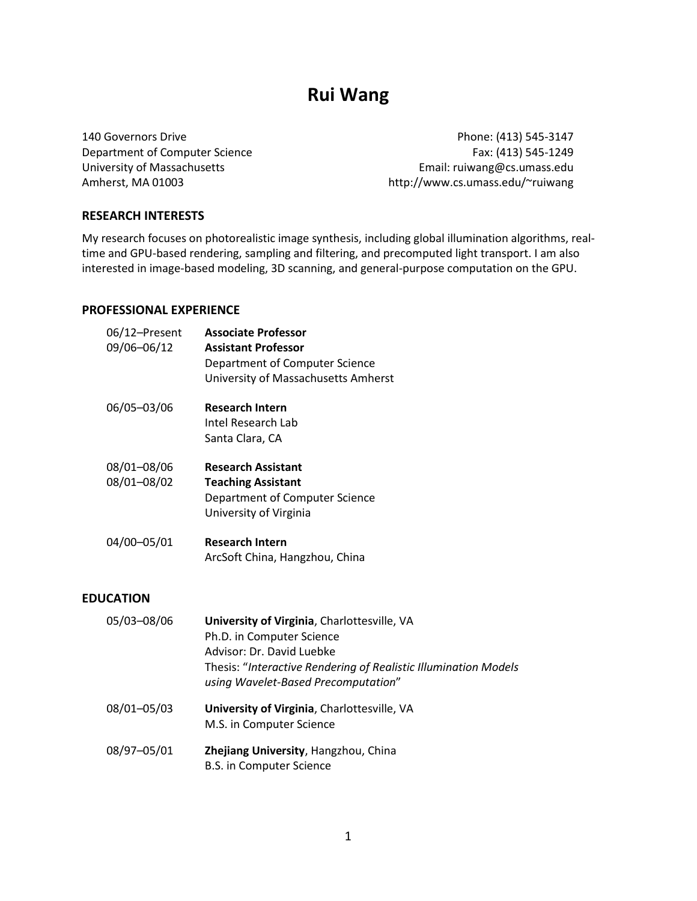# **Rui Wang**

140 Governors Drive Department of Computer Science University of Massachusetts Amherst, MA 01003

Phone: (413) 545-3147 Fax: (413) 545-1249 Email: ruiwang@cs.umass.edu http://www.cs.umass.edu/~ruiwang

#### **RESEARCH INTERESTS**

My research focuses on photorealistic image synthesis, including global illumination algorithms, realtime and GPU-based rendering, sampling and filtering, and precomputed light transport. I am also interested in image-based modeling, 3D scanning, and general-purpose computation on the GPU.

#### **PROFESSIONAL EXPERIENCE**

| 06/12-Present<br>09/06-06/12 | <b>Associate Professor</b><br><b>Assistant Professor</b><br>Department of Computer Science<br>University of Massachusetts Amherst |
|------------------------------|-----------------------------------------------------------------------------------------------------------------------------------|
| 06/05-03/06                  | <b>Research Intern</b><br>Intel Research Lab<br>Santa Clara, CA                                                                   |
| 08/01-08/06<br>08/01-08/02   | <b>Research Assistant</b><br><b>Teaching Assistant</b><br>Department of Computer Science<br>University of Virginia                |
| 04/00-05/01                  | <b>Research Intern</b><br>ArcSoft China, Hangzhou, China                                                                          |

#### **EDUCATION**

- 05/03–08/06 **University of Virginia**, Charlottesville, VA Ph.D. in Computer Science Advisor: Dr. David Luebke Thesis: "*Interactive Rendering of Realistic Illumination Models using Wavelet-Based Precomputation*" 08/01–05/03 **University of Virginia**, Charlottesville, VA
	- M.S. in Computer Science
- 08/97–05/01 **Zhejiang University**, Hangzhou, China B.S. in Computer Science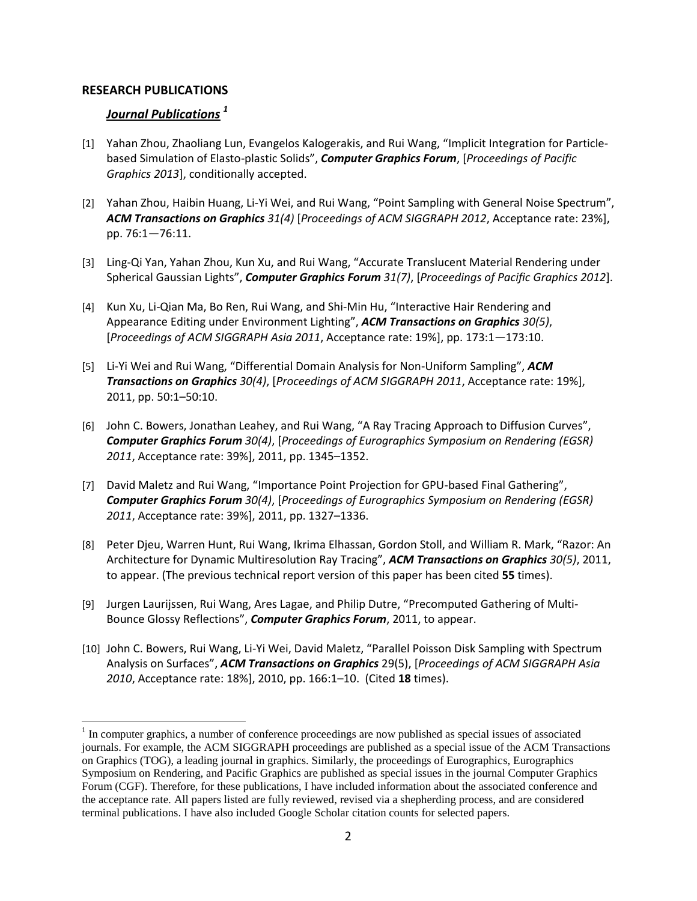#### **RESEARCH PUBLICATIONS**

 $\overline{a}$ 

# *Journal Publications <sup>1</sup>*

- [1] Yahan Zhou, Zhaoliang Lun, Evangelos Kalogerakis, and Rui Wang, "Implicit Integration for Particlebased Simulation of Elasto-plastic Solids", *Computer Graphics Forum*, [*Proceedings of Pacific Graphics 2013*], conditionally accepted.
- [2] Yahan Zhou, Haibin Huang, Li-Yi Wei, and Rui Wang, "Point Sampling with General Noise Spectrum", *ACM Transactions on Graphics 31(4)* [*Proceedings of ACM SIGGRAPH 2012*, Acceptance rate: 23%], pp. 76:1—76:11.
- [3] Ling-Qi Yan, Yahan Zhou, Kun Xu, and Rui Wang, "Accurate Translucent Material Rendering under Spherical Gaussian Lights", *Computer Graphics Forum 31(7)*, [*Proceedings of Pacific Graphics 2012*].
- [4] Kun Xu, Li-Qian Ma, Bo Ren, Rui Wang, and Shi-Min Hu, "Interactive Hair Rendering and Appearance Editing under Environment Lighting", *ACM Transactions on Graphics 30(5)*, [*Proceedings of ACM SIGGRAPH Asia 2011*, Acceptance rate: 19%], pp. 173:1—173:10.
- [5] Li-Yi Wei and Rui Wang, "Differential Domain Analysis for Non-Uniform Sampling", *ACM Transactions on Graphics 30(4)*, [*Proceedings of ACM SIGGRAPH 2011*, Acceptance rate: 19%], 2011, pp. 50:1–50:10.
- [6] John C. Bowers, Jonathan Leahey, and Rui Wang, "A Ray Tracing Approach to Diffusion Curves", *Computer Graphics Forum 30(4)*, [*Proceedings of Eurographics Symposium on Rendering (EGSR) 2011*, Acceptance rate: 39%], 2011, pp. 1345–1352.
- [7] David Maletz and Rui Wang, "Importance Point Projection for GPU-based Final Gathering", *Computer Graphics Forum 30(4)*, [*Proceedings of Eurographics Symposium on Rendering (EGSR) 2011*, Acceptance rate: 39%], 2011, pp. 1327–1336.
- [8] Peter Djeu, Warren Hunt, Rui Wang, Ikrima Elhassan, Gordon Stoll, and William R. Mark, "Razor: An Architecture for Dynamic Multiresolution Ray Tracing", *ACM Transactions on Graphics 30(5)*, 2011, to appear. (The previous technical report version of this paper has been cited **55** times).
- [9] Jurgen Laurijssen, Rui Wang, Ares Lagae, and Philip Dutre, "Precomputed Gathering of Multi-Bounce Glossy Reflections", *Computer Graphics Forum*, 2011, to appear.
- [10] John C. Bowers, Rui Wang, Li-Yi Wei, David Maletz, "Parallel Poisson Disk Sampling with Spectrum Analysis on Surfaces", *ACM Transactions on Graphics* 29(5), [*Proceedings of ACM SIGGRAPH Asia 2010*, Acceptance rate: 18%], 2010, pp. 166:1–10. (Cited **18** times).

 $1$  In computer graphics, a number of conference proceedings are now published as special issues of associated journals. For example, the ACM SIGGRAPH proceedings are published as a special issue of the ACM Transactions on Graphics (TOG), a leading journal in graphics. Similarly, the proceedings of Eurographics, Eurographics Symposium on Rendering, and Pacific Graphics are published as special issues in the journal Computer Graphics Forum (CGF). Therefore, for these publications, I have included information about the associated conference and the acceptance rate. All papers listed are fully reviewed, revised via a shepherding process, and are considered terminal publications. I have also included Google Scholar citation counts for selected papers.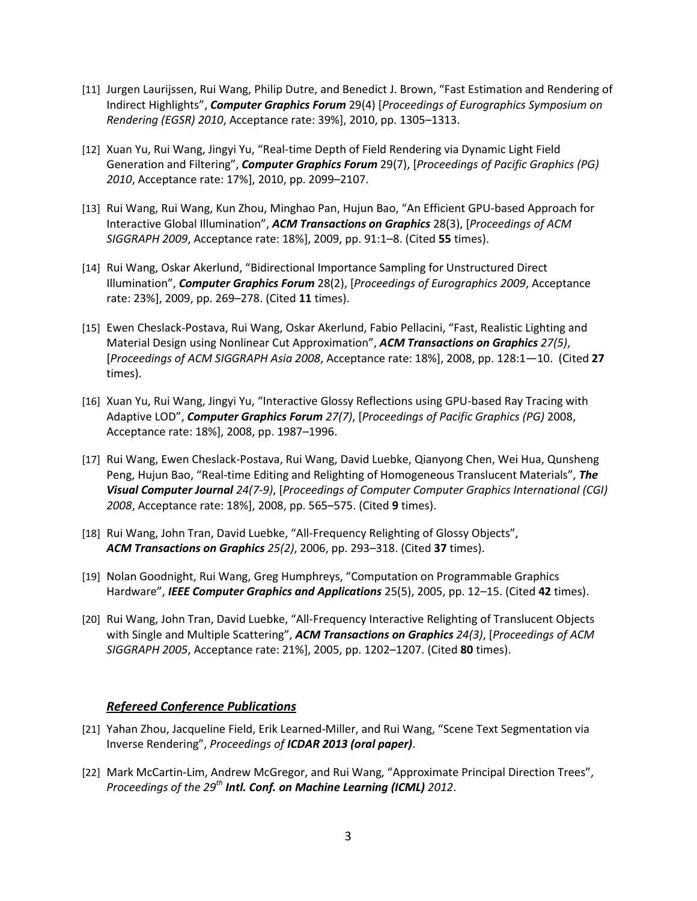- [11] Jurgen Laurijssen, Rui Wang, Philip Dutre, and Benedict J. Brown, "Fast Estimation and Rendering of Indirect Highlights", *Computer Graphics Forum* 29(4) [*Proceedings of Eurographics Symposium on Rendering (EGSR) 2010*, Acceptance rate: 39%], 2010, pp. 1305–1313.
- [12] Xuan Yu, Rui Wang, Jingyi Yu, "Real-time Depth of Field Rendering via Dynamic Light Field Generation and Filtering", *Computer Graphics Forum* 29(7), [*Proceedings of Pacific Graphics (PG) 2010*, Acceptance rate: 17%], 2010, pp. 2099–2107.
- [13] Rui Wang, Rui Wang, Kun Zhou, Minghao Pan, Hujun Bao, "An Efficient GPU-based Approach for Interactive Global Illumination", *ACM Transactions on Graphics* 28(3), [*Proceedings of ACM SIGGRAPH 2009*, Acceptance rate: 18%], 2009, pp. 91:1–8. (Cited **55** times).
- [14] Rui Wang, Oskar Akerlund, "Bidirectional Importance Sampling for Unstructured Direct Illumination", *Computer Graphics Forum* 28(2), [*Proceedings of Eurographics 2009*, Acceptance rate: 23%], 2009, pp. 269–278. (Cited **11** times).
- [15] Ewen Cheslack-Postava, Rui Wang, Oskar Akerlund, Fabio Pellacini, "Fast, Realistic Lighting and Material Design using Nonlinear Cut Approximation", *ACM Transactions on Graphics 27(5)*, [*Proceedings of ACM SIGGRAPH Asia 2008*, Acceptance rate: 18%], 2008, pp. 128:1—10. (Cited **27** times).
- [16] Xuan Yu, Rui Wang, Jingyi Yu, "Interactive Glossy Reflections using GPU-based Ray Tracing with Adaptive LOD", *Computer Graphics Forum 27(7)*, [*Proceedings of Pacific Graphics (PG)* 2008, Acceptance rate: 18%], 2008, pp. 1987–1996.
- [17] Rui Wang, Ewen Cheslack-Postava, Rui Wang, David Luebke, Qianyong Chen, Wei Hua, Qunsheng Peng, Hujun Bao, "Real-time Editing and Relighting of Homogeneous Translucent Materials", *The Visual Computer Journal 24(7-9)*, [*Proceedings of Computer Computer Graphics International (CGI) 2008*, Acceptance rate: 18%], 2008, pp. 565–575. (Cited **9** times).
- [18] Rui Wang, John Tran, David Luebke, "All-Frequency Relighting of Glossy Objects", *ACM Transactions on Graphics 25(2)*, 2006, pp. 293–318. (Cited **37** times).
- [19] Nolan Goodnight, Rui Wang, Greg Humphreys, "Computation on Programmable Graphics Hardware", *IEEE Computer Graphics and Applications* 25(5), 2005, pp. 12–15. (Cited **42** times).
- [20] Rui Wang, John Tran, David Luebke, "All-Frequency Interactive Relighting of Translucent Objects with Single and Multiple Scattering", *ACM Transactions on Graphics 24(3)*, [*Proceedings of ACM SIGGRAPH 2005*, Acceptance rate: 21%], 2005, pp. 1202–1207. (Cited **80** times).

#### *Refereed Conference Publications*

- [21] Yahan Zhou, Jacqueline Field, Erik Learned-Miller, and Rui Wang, "Scene Text Segmentation via Inverse Rendering", *Proceedings of ICDAR 2013 (oral paper)*.
- [22] Mark McCartin-Lim, Andrew McGregor, and Rui Wang, "Approximate Principal Direction Trees", *Proceedings of the 29th Intl. Conf. on Machine Learning (ICML) 2012*.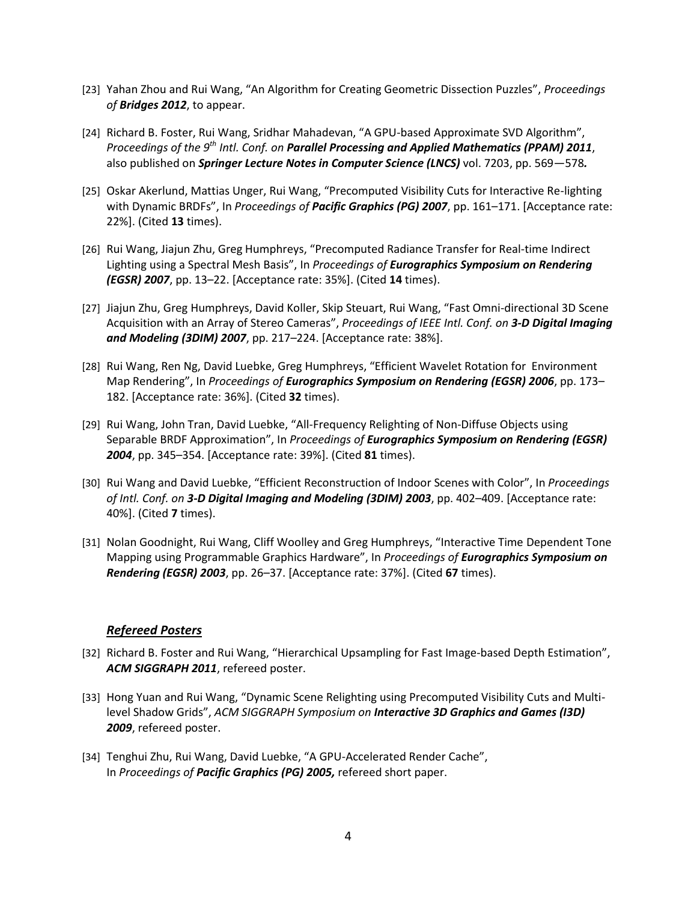- [23] Yahan Zhou and Rui Wang, "An Algorithm for Creating Geometric Dissection Puzzles", *Proceedings of Bridges 2012*, to appear.
- [24] Richard B. Foster, Rui Wang, Sridhar Mahadevan, "A GPU-based Approximate SVD Algorithm", *Proceedings of the 9 th Intl. Conf. on Parallel Processing and Applied Mathematics (PPAM) 2011*, also published on *Springer Lecture Notes in Computer Science (LNCS)* vol. 7203, pp. 569—578*.*
- [25] Oskar Akerlund, Mattias Unger, Rui Wang, "Precomputed Visibility Cuts for Interactive Re-lighting with Dynamic BRDFs", In *Proceedings of Pacific Graphics (PG) 2007*, pp. 161–171. [Acceptance rate: 22%]. (Cited **13** times).
- [26] Rui Wang, Jiajun Zhu, Greg Humphreys, "Precomputed Radiance Transfer for Real-time Indirect Lighting using a Spectral Mesh Basis", In *Proceedings of Eurographics Symposium on Rendering (EGSR) 2007*, pp. 13–22. [Acceptance rate: 35%]. (Cited **14** times).
- [27] Jiajun Zhu, Greg Humphreys, David Koller, Skip Steuart, Rui Wang, "Fast Omni-directional 3D Scene Acquisition with an Array of Stereo Cameras", *Proceedings of IEEE Intl. Conf. on 3-D Digital Imaging and Modeling (3DIM) 2007*, pp. 217–224. [Acceptance rate: 38%].
- [28] Rui Wang, Ren Ng, David Luebke, Greg Humphreys, "Efficient Wavelet Rotation for Environment Map Rendering", In *Proceedings of Eurographics Symposium on Rendering (EGSR) 2006*, pp. 173– 182. [Acceptance rate: 36%]. (Cited **32** times).
- [29] Rui Wang, John Tran, David Luebke, "All-Frequency Relighting of Non-Diffuse Objects using Separable BRDF Approximation", In *Proceedings of Eurographics Symposium on Rendering (EGSR) 2004*, pp. 345–354. [Acceptance rate: 39%]. (Cited **81** times).
- [30] Rui Wang and David Luebke, "Efficient Reconstruction of Indoor Scenes with Color", In *Proceedings of Intl. Conf. on 3-D Digital Imaging and Modeling (3DIM) 2003*, pp. 402–409. [Acceptance rate: 40%]. (Cited **7** times).
- [31] Nolan Goodnight, Rui Wang, Cliff Woolley and Greg Humphreys, "Interactive Time Dependent Tone Mapping using Programmable Graphics Hardware", In *Proceedings of Eurographics Symposium on Rendering (EGSR) 2003*, pp. 26–37. [Acceptance rate: 37%]. (Cited **67** times).

#### *Refereed Posters*

- [32] Richard B. Foster and Rui Wang, "Hierarchical Upsampling for Fast Image-based Depth Estimation", *ACM SIGGRAPH 2011*, refereed poster.
- [33] Hong Yuan and Rui Wang, "Dynamic Scene Relighting using Precomputed Visibility Cuts and Multilevel Shadow Grids", *ACM SIGGRAPH Symposium on Interactive 3D Graphics and Games (I3D) 2009*, refereed poster.
- [34] Tenghui Zhu, Rui Wang, David Luebke, "A GPU-Accelerated Render Cache", In *Proceedings of Pacific Graphics (PG) 2005,* refereed short paper.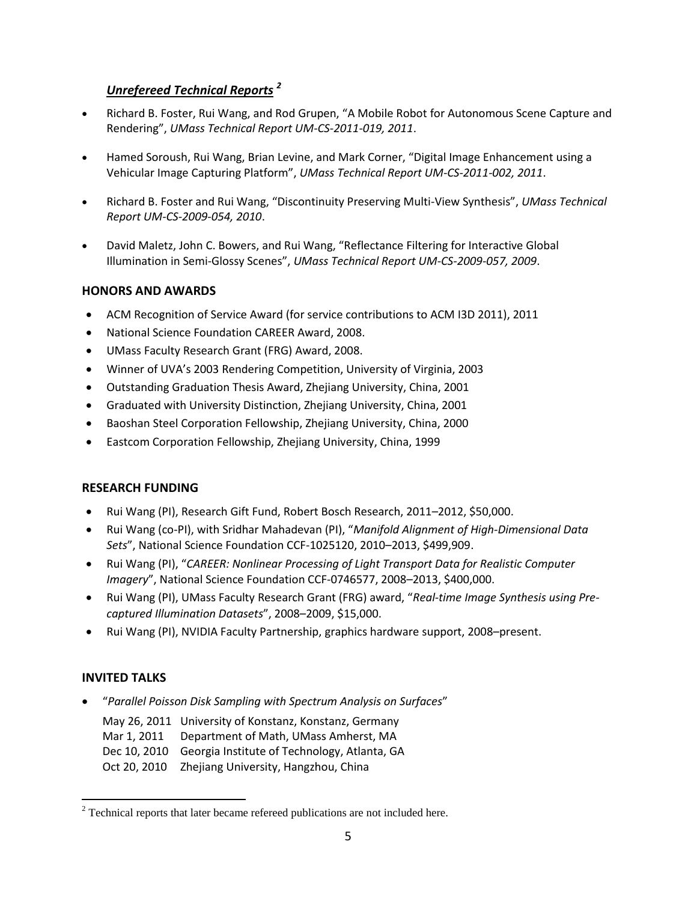# *Unrefereed Technical Reports <sup>2</sup>*

- Richard B. Foster, Rui Wang, and Rod Grupen, "A Mobile Robot for Autonomous Scene Capture and Rendering", *UMass Technical Report UM-CS-2011-019, 2011*.
- Hamed Soroush, Rui Wang, Brian Levine, and Mark Corner, "Digital Image Enhancement using a Vehicular Image Capturing Platform", *UMass Technical Report UM-CS-2011-002, 2011*.
- Richard B. Foster and Rui Wang, "Discontinuity Preserving Multi-View Synthesis", *UMass Technical Report UM-CS-2009-054, 2010*.
- David Maletz, John C. Bowers, and Rui Wang, "Reflectance Filtering for Interactive Global Illumination in Semi-Glossy Scenes", *UMass Technical Report UM-CS-2009-057, 2009*.

# **HONORS AND AWARDS**

- ACM Recognition of Service Award (for service contributions to ACM I3D 2011), 2011
- National Science Foundation CAREER Award, 2008.
- UMass Faculty Research Grant (FRG) Award, 2008.
- Winner of UVA's 2003 Rendering Competition, University of Virginia, 2003
- Outstanding Graduation Thesis Award, Zhejiang University, China, 2001
- Graduated with University Distinction, Zhejiang University, China, 2001
- Baoshan Steel Corporation Fellowship, Zhejiang University, China, 2000
- Eastcom Corporation Fellowship, Zhejiang University, China, 1999

# **RESEARCH FUNDING**

- Rui Wang (PI), Research Gift Fund, Robert Bosch Research, 2011–2012, \$50,000.
- Rui Wang (co-PI), with Sridhar Mahadevan (PI), "*Manifold Alignment of High-Dimensional Data Sets*", National Science Foundation CCF-1025120, 2010–2013, \$499,909.
- Rui Wang (PI), "*CAREER: Nonlinear Processing of Light Transport Data for Realistic Computer Imagery*", National Science Foundation CCF-0746577, 2008–2013, \$400,000.
- Rui Wang (PI), UMass Faculty Research Grant (FRG) award, "*Real-time Image Synthesis using Precaptured Illumination Datasets*", 2008–2009, \$15,000.
- Rui Wang (PI), NVIDIA Faculty Partnership, graphics hardware support, 2008–present.

# **INVITED TALKS**

 $\overline{a}$ 

"*Parallel Poisson Disk Sampling with Spectrum Analysis on Surfaces*"

May 26, 2011 University of Konstanz, Konstanz, Germany Mar 1, 2011 Department of Math, UMass Amherst, MA

- Dec 10, 2010 Georgia Institute of Technology, Atlanta, GA
- 
- Oct 20, 2010 Zhejiang University, Hangzhou, China

 $2$  Technical reports that later became refereed publications are not included here.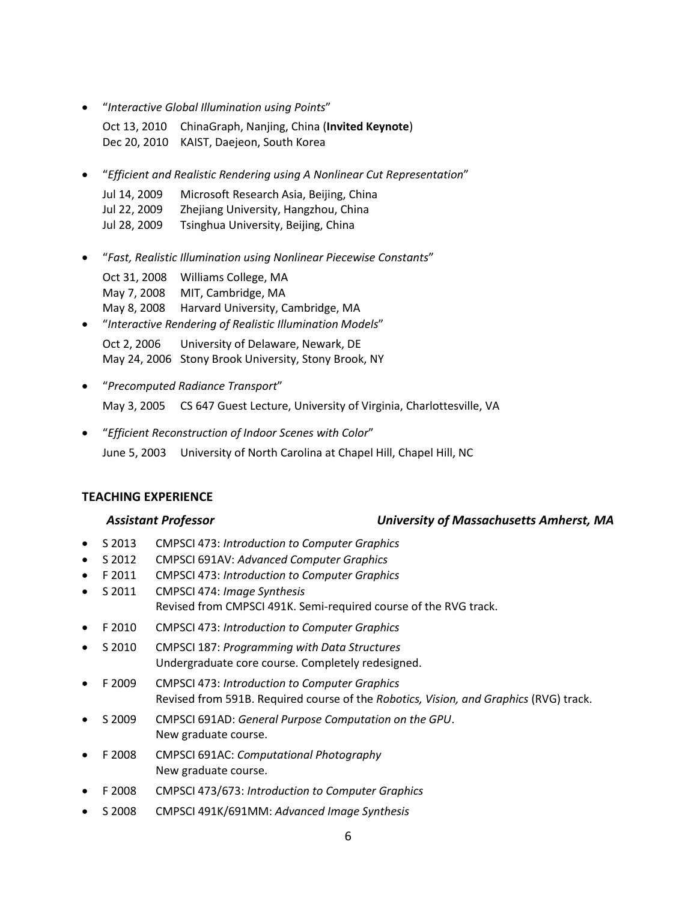"*Interactive Global Illumination using Points*"

Oct 13, 2010 ChinaGraph, Nanjing, China (**Invited Keynote**) Dec 20, 2010 KAIST, Daejeon, South Korea

"*Efficient and Realistic Rendering using A Nonlinear Cut Representation*"

| Jul 14, 2009 | Microsoft Research Asia, Beijing, China |
|--------------|-----------------------------------------|
| Jul 22, 2009 | Zhejiang University, Hangzhou, China    |
| Jul 28, 2009 | Tsinghua University, Beijing, China     |

 "*Fast, Realistic Illumination using Nonlinear Piecewise Constants*" Oct 31, 2008 Williams College, MA

May 7, 2008 MIT, Cambridge, MA May 8, 2008 Harvard University, Cambridge, MA

- "*Interactive Rendering of Realistic Illumination Models*" Oct 2, 2006 University of Delaware, Newark, DE May 24, 2006 Stony Brook University, Stony Brook, NY
- "*Precomputed Radiance Transport*" May 3, 2005 CS 647 Guest Lecture, University of Virginia, Charlottesville, VA
- "*Efficient Reconstruction of Indoor Scenes with Color*" June 5, 2003 University of North Carolina at Chapel Hill, Chapel Hill, NC

### **TEACHING EXPERIENCE**

#### *Assistant Professor University of Massachusetts Amherst, MA*

- S 2013 CMPSCI 473: *Introduction to Computer Graphics*
- S 2012 CMPSCI 691AV: *Advanced Computer Graphics*
- F 2011 CMPSCI 473: *Introduction to Computer Graphics*
- S 2011 CMPSCI 474: *Image Synthesis* Revised from CMPSCI 491K. Semi-required course of the RVG track.
- F 2010 CMPSCI 473: *Introduction to Computer Graphics*
- S 2010 CMPSCI 187: *Programming with Data Structures* Undergraduate core course. Completely redesigned.
- F 2009 CMPSCI 473: *Introduction to Computer Graphics* Revised from 591B. Required course of the *Robotics, Vision, and Graphics* (RVG) track.
- S 2009 CMPSCI 691AD: *General Purpose Computation on the GPU*. New graduate course.
- F 2008 CMPSCI 691AC: *Computational Photography* New graduate course.
- F 2008 CMPSCI 473/673: *Introduction to Computer Graphics*
- S 2008 CMPSCI 491K/691MM: *Advanced Image Synthesis*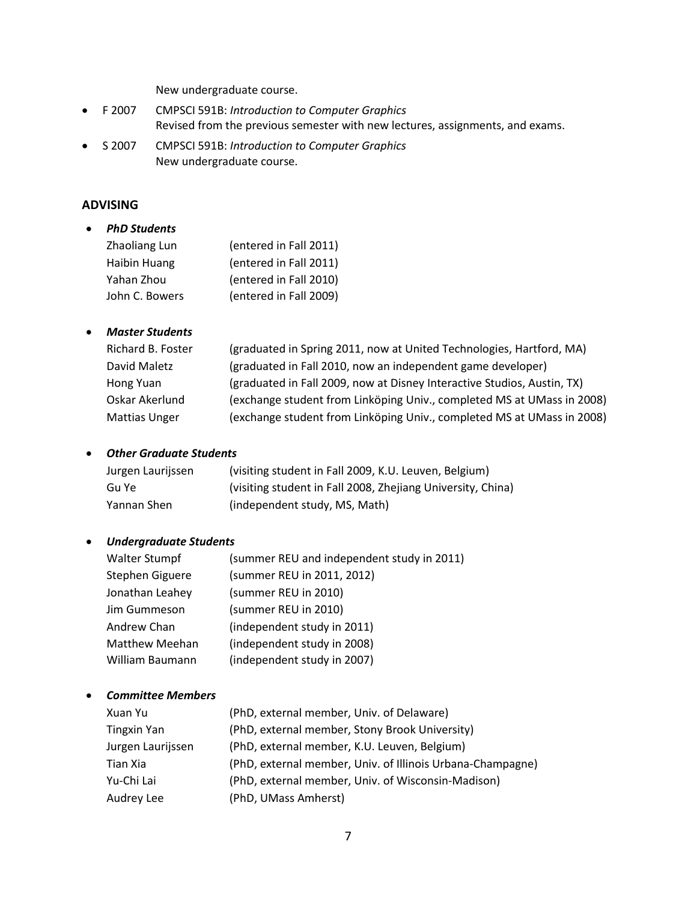New undergraduate course.

- F 2007 CMPSCI 591B: *Introduction to Computer Graphics* Revised from the previous semester with new lectures, assignments, and exams.
- S 2007 CMPSCI 591B: *Introduction to Computer Graphics* New undergraduate course.

#### **ADVISING**

| <b>PhD Students</b> |                        |
|---------------------|------------------------|
| Zhaoliang Lun       | (entered in Fall 2011) |
| Haibin Huang        | (entered in Fall 2011) |
| Yahan Zhou          | (entered in Fall 2010) |
| John C. Bowers      | (entered in Fall 2009) |
|                     |                        |

#### *Master Students*

| Richard B. Foster    | (graduated in Spring 2011, now at United Technologies, Hartford, MA)    |
|----------------------|-------------------------------------------------------------------------|
| David Maletz         | (graduated in Fall 2010, now an independent game developer)             |
| Hong Yuan            | (graduated in Fall 2009, now at Disney Interactive Studios, Austin, TX) |
| Oskar Akerlund       | (exchange student from Linköping Univ., completed MS at UMass in 2008)  |
| <b>Mattias Unger</b> | (exchange student from Linköping Univ., completed MS at UMass in 2008)  |

#### *Other Graduate Students*

| Jurgen Laurijssen | (visiting student in Fall 2009, K.U. Leuven, Belgium)       |
|-------------------|-------------------------------------------------------------|
| Gu Ye             | (visiting student in Fall 2008, Zhejiang University, China) |
| Yannan Shen       | (independent study, MS, Math)                               |

#### *Undergraduate Students*

| <b>Walter Stumpf</b>  | (summer REU and independent study in 2011) |
|-----------------------|--------------------------------------------|
| Stephen Giguere       | (summer REU in 2011, 2012)                 |
| Jonathan Leahey       | (summer REU in 2010)                       |
| Jim Gummeson          | (summer REU in 2010)                       |
| Andrew Chan           | (independent study in 2011)                |
| <b>Matthew Meehan</b> | (independent study in 2008)                |
| William Baumann       | (independent study in 2007)                |

#### *Committee Members*

| Xuan Yu            | (PhD, external member, Univ. of Delaware)                  |
|--------------------|------------------------------------------------------------|
| <b>Tingxin Yan</b> | (PhD, external member, Stony Brook University)             |
| Jurgen Laurijssen  | (PhD, external member, K.U. Leuven, Belgium)               |
| Tian Xia           | (PhD, external member, Univ. of Illinois Urbana-Champagne) |
| Yu-Chi Lai         | (PhD, external member, Univ. of Wisconsin-Madison)         |
| Audrey Lee         | (PhD, UMass Amherst)                                       |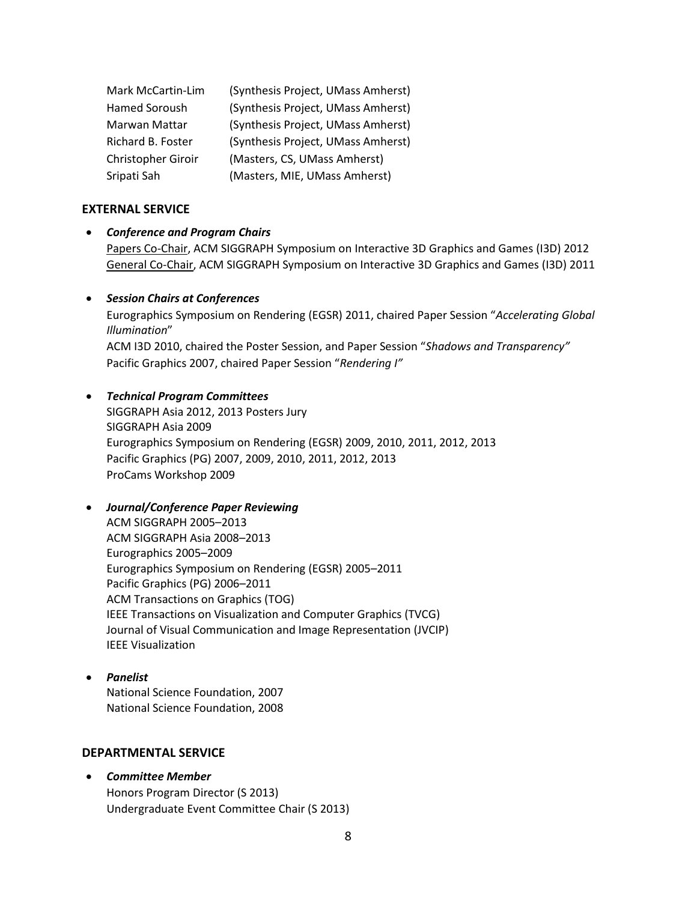| Mark McCartin-Lim  | (Synthesis Project, UMass Amherst) |
|--------------------|------------------------------------|
| Hamed Soroush      | (Synthesis Project, UMass Amherst) |
| Marwan Mattar      | (Synthesis Project, UMass Amherst) |
| Richard B. Foster  | (Synthesis Project, UMass Amherst) |
| Christopher Giroir | (Masters, CS, UMass Amherst)       |
| Sripati Sah        | (Masters, MIE, UMass Amherst)      |

#### **EXTERNAL SERVICE**

#### *Conference and Program Chairs*

Papers Co-Chair, ACM SIGGRAPH Symposium on Interactive 3D Graphics and Games (I3D) 2012 General Co-Chair, ACM SIGGRAPH Symposium on Interactive 3D Graphics and Games (I3D) 2011

#### *Session Chairs at Conferences*

Eurographics Symposium on Rendering (EGSR) 2011, chaired Paper Session "*Accelerating Global Illumination*"

ACM I3D 2010, chaired the Poster Session, and Paper Session "*Shadows and Transparency"* Pacific Graphics 2007, chaired Paper Session "*Rendering I"*

#### *Technical Program Committees*

SIGGRAPH Asia 2012, 2013 Posters Jury SIGGRAPH Asia 2009 Eurographics Symposium on Rendering (EGSR) 2009, 2010, 2011, 2012, 2013 Pacific Graphics (PG) 2007, 2009, 2010, 2011, 2012, 2013 ProCams Workshop 2009

#### *Journal/Conference Paper Reviewing*

ACM SIGGRAPH 2005–2013 ACM SIGGRAPH Asia 2008–2013 Eurographics 2005–2009 Eurographics Symposium on Rendering (EGSR) 2005–2011 Pacific Graphics (PG) 2006–2011 ACM Transactions on Graphics (TOG) IEEE Transactions on Visualization and Computer Graphics (TVCG) Journal of Visual Communication and Image Representation (JVCIP) IEEE Visualization

# *Panelist*

National Science Foundation, 2007 National Science Foundation, 2008

#### **DEPARTMENTAL SERVICE**

 *Committee Member* Honors Program Director (S 2013) Undergraduate Event Committee Chair (S 2013)